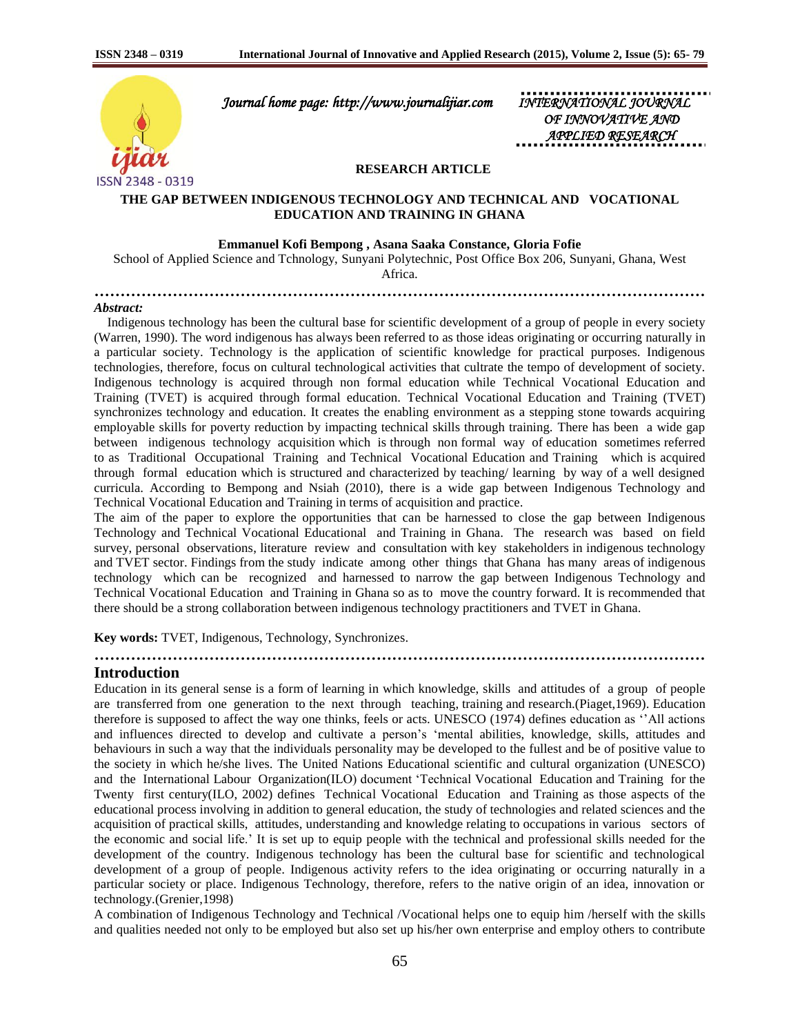

 *Journal home page: http://www.journalijiar.com INTERNATIONAL JOURNAL* 

 *OF INNOVATIVE AND APPLIED RESEARCH* 

### **RESEARCH ARTICLE**

## **THE GAP BETWEEN INDIGENOUS TECHNOLOGY AND TECHNICAL AND VOCATIONAL EDUCATION AND TRAINING IN GHANA**

#### **Emmanuel Kofi Bempong , Asana Saaka Constance, Gloria Fofie**

School of Applied Science and Tchnology, Sunyani Polytechnic, Post Office Box 206, Sunyani, Ghana, West Africa.

**………………………………………………………………………………………………………**

#### *Abstract:*

 Indigenous technology has been the cultural base for scientific development of a group of people in every society (Warren, 1990). The word indigenous has always been referred to as those ideas originating or occurring naturally in a particular society. Technology is the application of scientific knowledge for practical purposes. Indigenous technologies, therefore, focus on cultural technological activities that cultrate the tempo of development of society. Indigenous technology is acquired through non formal education while Technical Vocational Education and Training (TVET) is acquired through formal education. Technical Vocational Education and Training (TVET) synchronizes technology and education. It creates the enabling environment as a stepping stone towards acquiring employable skills for poverty reduction by impacting technical skills through training. There has been a wide gap between indigenous technology acquisition which is through non formal way of education sometimes referred to as Traditional Occupational Training and Technical Vocational Education and Training which is acquired through formal education which is structured and characterized by teaching/ learning by way of a well designed curricula. According to Bempong and Nsiah (2010), there is a wide gap between Indigenous Technology and Technical Vocational Education and Training in terms of acquisition and practice.

The aim of the paper to explore the opportunities that can be harnessed to close the gap between Indigenous Technology and Technical Vocational Educational and Training in Ghana. The research was based on field survey, personal observations, literature review and consultation with key stakeholders in indigenous technology and TVET sector. Findings from the study indicate among other things that Ghana has many areas of indigenous technology which can be recognized and harnessed to narrow the gap between Indigenous Technology and Technical Vocational Education and Training in Ghana so as to move the country forward. It is recommended that there should be a strong collaboration between indigenous technology practitioners and TVET in Ghana.

**………………………………………………………………………………………………………**

**Key words:** TVET, Indigenous, Technology, Synchronizes.

#### **Introduction**

Education in its general sense is a form of learning in which knowledge, skills and attitudes of a group of people are transferred from one generation to the next through teaching, training and research.(Piaget,1969). Education therefore is supposed to affect the way one thinks, feels or acts. UNESCO (1974) defines education as ''All actions and influences directed to develop and cultivate a person's 'mental abilities, knowledge, skills, attitudes and behaviours in such a way that the individuals personality may be developed to the fullest and be of positive value to the society in which he/she lives. The United Nations Educational scientific and cultural organization (UNESCO) and the International Labour Organization(ILO) document 'Technical Vocational Education and Training for the Twenty first century(ILO, 2002) defines Technical Vocational Education and Training as those aspects of the educational process involving in addition to general education, the study of technologies and related sciences and the acquisition of practical skills, attitudes, understanding and knowledge relating to occupations in various sectors of the economic and social life.' It is set up to equip people with the technical and professional skills needed for the development of the country. Indigenous technology has been the cultural base for scientific and technological development of a group of people. Indigenous activity refers to the idea originating or occurring naturally in a particular society or place. Indigenous Technology, therefore, refers to the native origin of an idea, innovation or technology.(Grenier,1998)

A combination of Indigenous Technology and Technical /Vocational helps one to equip him /herself with the skills and qualities needed not only to be employed but also set up his/her own enterprise and employ others to contribute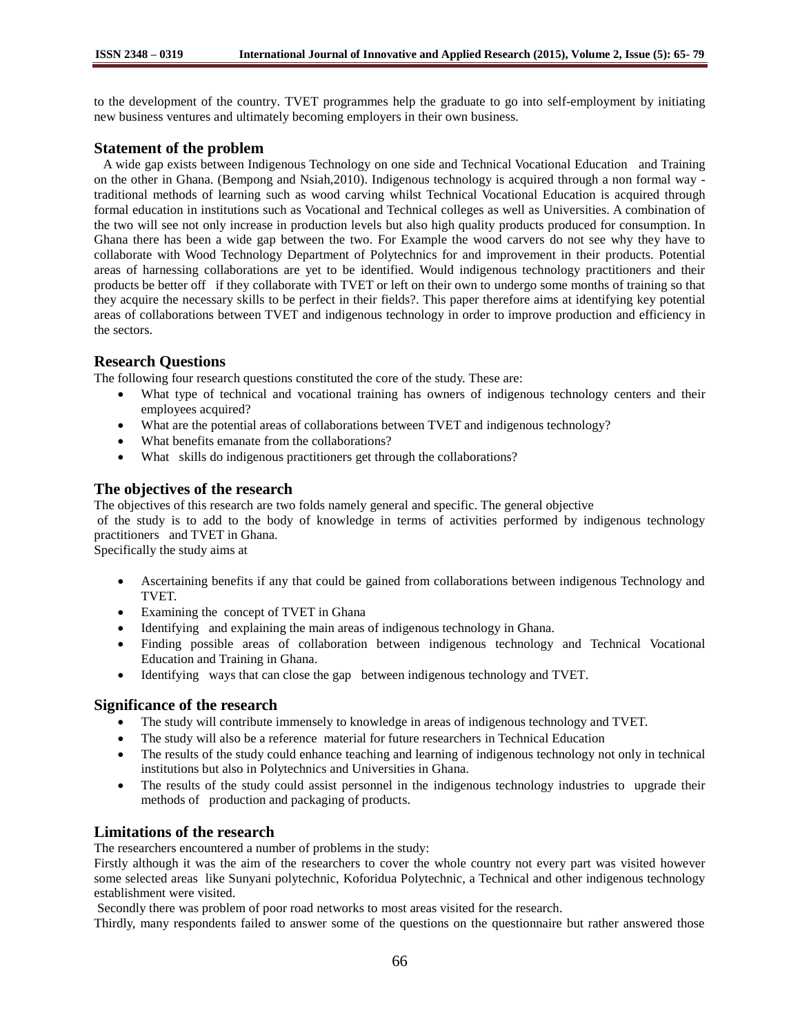to the development of the country. TVET programmes help the graduate to go into self-employment by initiating new business ventures and ultimately becoming employers in their own business.

## **Statement of the problem**

 A wide gap exists between Indigenous Technology on one side and Technical Vocational Education and Training on the other in Ghana. (Bempong and Nsiah,2010). Indigenous technology is acquired through a non formal way traditional methods of learning such as wood carving whilst Technical Vocational Education is acquired through formal education in institutions such as Vocational and Technical colleges as well as Universities. A combination of the two will see not only increase in production levels but also high quality products produced for consumption. In Ghana there has been a wide gap between the two. For Example the wood carvers do not see why they have to collaborate with Wood Technology Department of Polytechnics for and improvement in their products. Potential areas of harnessing collaborations are yet to be identified. Would indigenous technology practitioners and their products be better off if they collaborate with TVET or left on their own to undergo some months of training so that they acquire the necessary skills to be perfect in their fields?. This paper therefore aims at identifying key potential areas of collaborations between TVET and indigenous technology in order to improve production and efficiency in the sectors.

# **Research Questions**

The following four research questions constituted the core of the study. These are:

- What type of technical and vocational training has owners of indigenous technology centers and their employees acquired?
- What are the potential areas of collaborations between TVET and indigenous technology?
- What benefits emanate from the collaborations?
- What skills do indigenous practitioners get through the collaborations?

# **The objectives of the research**

The objectives of this research are two folds namely general and specific. The general objective

of the study is to add to the body of knowledge in terms of activities performed by indigenous technology practitioners and TVET in Ghana.

Specifically the study aims at

- Ascertaining benefits if any that could be gained from collaborations between indigenous Technology and TVET.
- Examining the concept of TVET in Ghana
- Identifying and explaining the main areas of indigenous technology in Ghana.
- Finding possible areas of collaboration between indigenous technology and Technical Vocational Education and Training in Ghana.
- Identifying ways that can close the gap between indigenous technology and TVET.

### **Significance of the research**

- The study will contribute immensely to knowledge in areas of indigenous technology and TVET.
- The study will also be a reference material for future researchers in Technical Education
- The results of the study could enhance teaching and learning of indigenous technology not only in technical institutions but also in Polytechnics and Universities in Ghana.
- The results of the study could assist personnel in the indigenous technology industries to upgrade their methods of production and packaging of products.

# **Limitations of the research**

The researchers encountered a number of problems in the study:

Firstly although it was the aim of the researchers to cover the whole country not every part was visited however some selected areas like Sunyani polytechnic, Koforidua Polytechnic, a Technical and other indigenous technology establishment were visited.

Secondly there was problem of poor road networks to most areas visited for the research.

Thirdly, many respondents failed to answer some of the questions on the questionnaire but rather answered those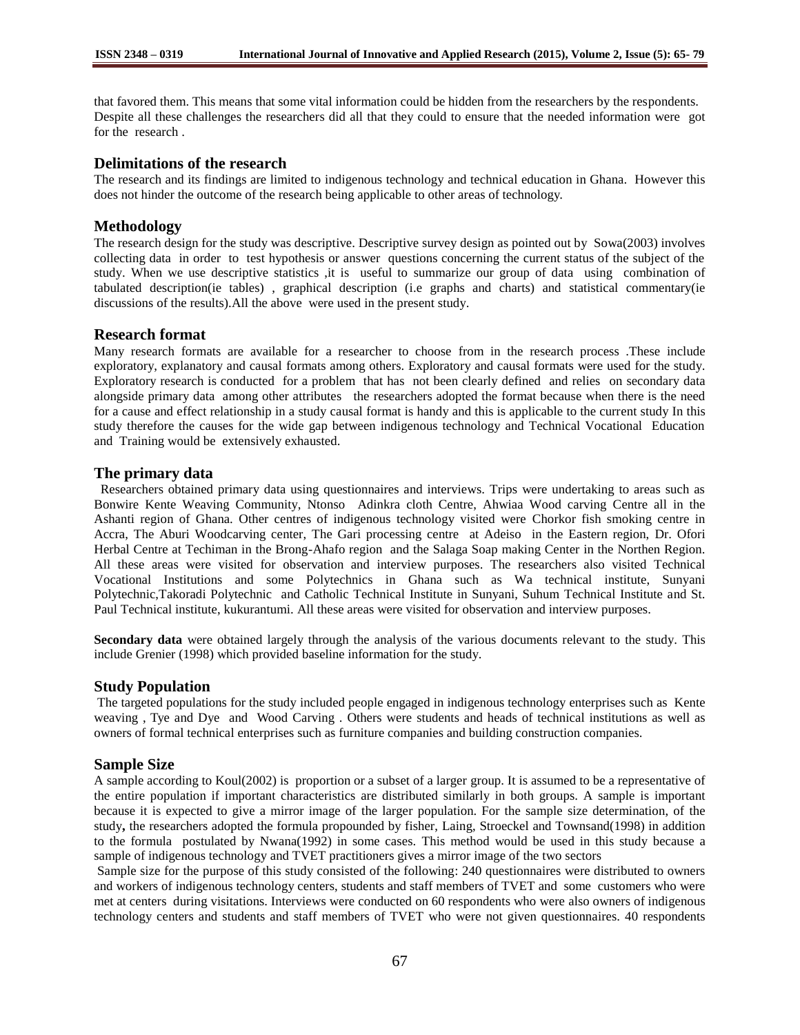that favored them. This means that some vital information could be hidden from the researchers by the respondents. Despite all these challenges the researchers did all that they could to ensure that the needed information were got for the research .

## **Delimitations of the research**

The research and its findings are limited to indigenous technology and technical education in Ghana. However this does not hinder the outcome of the research being applicable to other areas of technology.

## **Methodology**

The research design for the study was descriptive. Descriptive survey design as pointed out by Sowa(2003) involves collecting data in order to test hypothesis or answer questions concerning the current status of the subject of the study. When we use descriptive statistics ,it is useful to summarize our group of data using combination of tabulated description(ie tables) , graphical description (i.e graphs and charts) and statistical commentary(ie discussions of the results).All the above were used in the present study.

### **Research format**

Many research formats are available for a researcher to choose from in the research process .These include exploratory, explanatory and causal formats among others. Exploratory and causal formats were used for the study. Exploratory research is conducted for a problem that has not been clearly defined and relies on secondary data alongside primary data among other attributes the researchers adopted the format because when there is the need for a cause and effect relationship in a study causal format is handy and this is applicable to the current study In this study therefore the causes for the wide gap between indigenous technology and Technical Vocational Education and Training would be extensively exhausted.

## **The primary data**

Researchers obtained primary data using questionnaires and interviews. Trips were undertaking to areas such as Bonwire Kente Weaving Community, Ntonso Adinkra cloth Centre, Ahwiaa Wood carving Centre all in the Ashanti region of Ghana. Other centres of indigenous technology visited were Chorkor fish smoking centre in Accra, The Aburi Woodcarving center, The Gari processing centre at Adeiso in the Eastern region, Dr. Ofori Herbal Centre at Techiman in the Brong-Ahafo region and the Salaga Soap making Center in the Northen Region. All these areas were visited for observation and interview purposes. The researchers also visited Technical Vocational Institutions and some Polytechnics in Ghana such as Wa technical institute, Sunyani Polytechnic,Takoradi Polytechnic and Catholic Technical Institute in Sunyani, Suhum Technical Institute and St. Paul Technical institute, kukurantumi. All these areas were visited for observation and interview purposes.

**Secondary data** were obtained largely through the analysis of the various documents relevant to the study. This include Grenier (1998) which provided baseline information for the study.

### **Study Population**

The targeted populations for the study included people engaged in indigenous technology enterprises such as Kente weaving , Tye and Dye and Wood Carving . Others were students and heads of technical institutions as well as owners of formal technical enterprises such as furniture companies and building construction companies.

## **Sample Size**

A sample according to Koul(2002) is proportion or a subset of a larger group. It is assumed to be a representative of the entire population if important characteristics are distributed similarly in both groups. A sample is important because it is expected to give a mirror image of the larger population. For the sample size determination, of the study**,** the researchers adopted the formula propounded by fisher, Laing, Stroeckel and Townsand(1998) in addition to the formula postulated by Nwana(1992) in some cases. This method would be used in this study because a sample of indigenous technology and TVET practitioners gives a mirror image of the two sectors

Sample size for the purpose of this study consisted of the following: 240 questionnaires were distributed to owners and workers of indigenous technology centers, students and staff members of TVET and some customers who were met at centers during visitations. Interviews were conducted on 60 respondents who were also owners of indigenous technology centers and students and staff members of TVET who were not given questionnaires. 40 respondents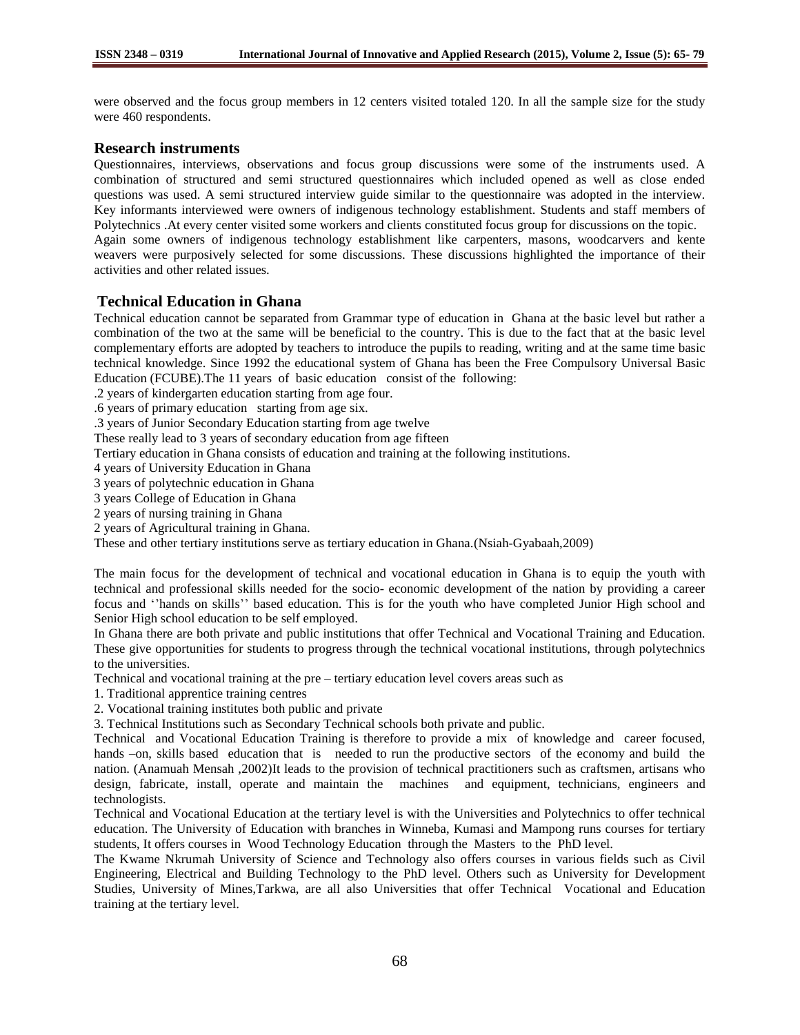were observed and the focus group members in 12 centers visited totaled 120. In all the sample size for the study were 460 respondents.

## **Research instruments**

Questionnaires, interviews, observations and focus group discussions were some of the instruments used. A combination of structured and semi structured questionnaires which included opened as well as close ended questions was used. A semi structured interview guide similar to the questionnaire was adopted in the interview. Key informants interviewed were owners of indigenous technology establishment. Students and staff members of Polytechnics .At every center visited some workers and clients constituted focus group for discussions on the topic. Again some owners of indigenous technology establishment like carpenters, masons, woodcarvers and kente weavers were purposively selected for some discussions. These discussions highlighted the importance of their activities and other related issues.

# **Technical Education in Ghana**

Technical education cannot be separated from Grammar type of education in Ghana at the basic level but rather a combination of the two at the same will be beneficial to the country. This is due to the fact that at the basic level complementary efforts are adopted by teachers to introduce the pupils to reading, writing and at the same time basic technical knowledge. Since 1992 the educational system of Ghana has been the Free Compulsory Universal Basic Education (FCUBE).The 11 years of basic education consist of the following:

.2 years of kindergarten education starting from age four.

.6 years of primary education starting from age six.

.3 years of Junior Secondary Education starting from age twelve

These really lead to 3 years of secondary education from age fifteen

Tertiary education in Ghana consists of education and training at the following institutions.

4 years of University Education in Ghana

3 years of polytechnic education in Ghana

3 years College of Education in Ghana

2 years of nursing training in Ghana

2 years of Agricultural training in Ghana.

These and other tertiary institutions serve as tertiary education in Ghana.(Nsiah-Gyabaah,2009)

The main focus for the development of technical and vocational education in Ghana is to equip the youth with technical and professional skills needed for the socio- economic development of the nation by providing a career focus and ''hands on skills'' based education. This is for the youth who have completed Junior High school and Senior High school education to be self employed.

In Ghana there are both private and public institutions that offer Technical and Vocational Training and Education. These give opportunities for students to progress through the technical vocational institutions, through polytechnics to the universities.

Technical and vocational training at the pre – tertiary education level covers areas such as

1. Traditional apprentice training centres

2. Vocational training institutes both public and private

3. Technical Institutions such as Secondary Technical schools both private and public.

Technical and Vocational Education Training is therefore to provide a mix of knowledge and career focused, hands -on, skills based education that is needed to run the productive sectors of the economy and build the nation. (Anamuah Mensah ,2002)It leads to the provision of technical practitioners such as craftsmen, artisans who design, fabricate, install, operate and maintain the machines and equipment, technicians, engineers and technologists.

Technical and Vocational Education at the tertiary level is with the Universities and Polytechnics to offer technical education. The University of Education with branches in Winneba, Kumasi and Mampong runs courses for tertiary students, It offers courses in Wood Technology Education through the Masters to the PhD level.

The Kwame Nkrumah University of Science and Technology also offers courses in various fields such as Civil Engineering, Electrical and Building Technology to the PhD level. Others such as University for Development Studies, University of Mines,Tarkwa, are all also Universities that offer Technical Vocational and Education training at the tertiary level.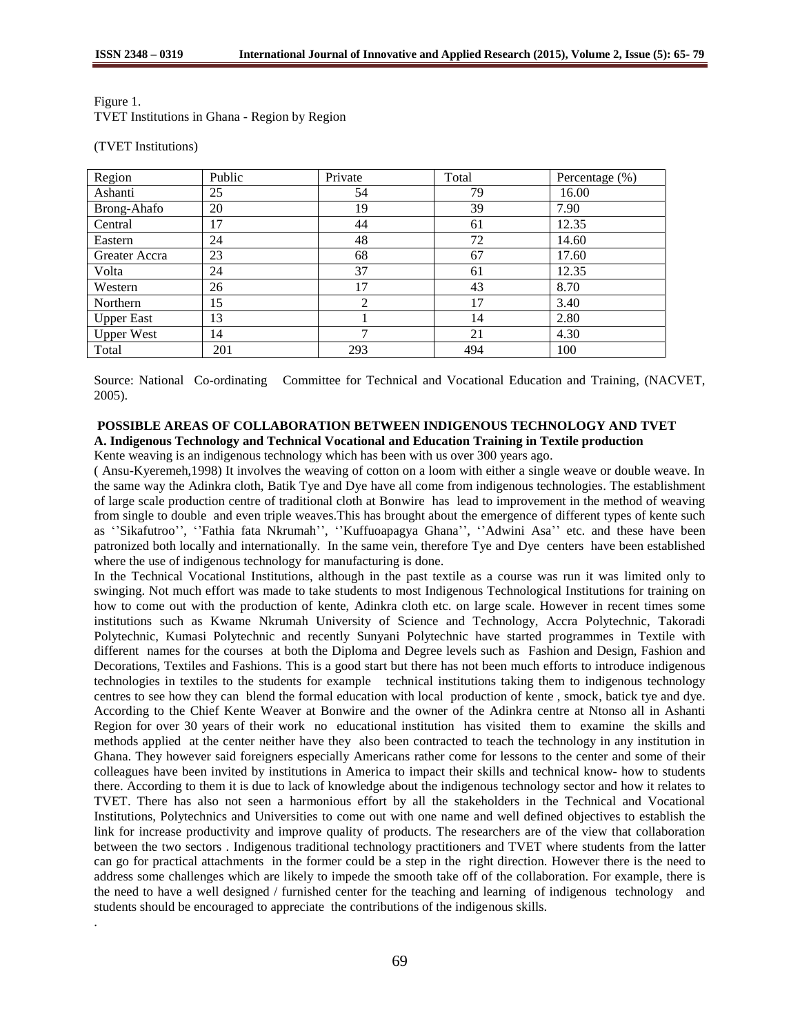| Figure 1.                                            |  |
|------------------------------------------------------|--|
| <b>TVET</b> Institutions in Ghana - Region by Region |  |

(TVET Institutions)

| Region            | Public | Private | Total | Percentage (%) |
|-------------------|--------|---------|-------|----------------|
| Ashanti           | 25     | 54      | 79    | 16.00          |
| Brong-Ahafo       | 20     | 19      | 39    | 7.90           |
| Central           | 17     | 44      | 61    | 12.35          |
| Eastern           | 24     | 48      | 72    | 14.60          |
| Greater Accra     | 23     | 68      | 67    | 17.60          |
| Volta             | 24     | 37      | 61    | 12.35          |
| Western           | 26     | 17      | 43    | 8.70           |
| Northern          | 15     | 2       | 17    | 3.40           |
| <b>Upper East</b> | 13     |         | 14    | 2.80           |
| <b>Upper West</b> | 14     | ⇁       | 21    | 4.30           |
| Total             | 201    | 293     | 494   | 100            |

Source: National Co-ordinating Committee for Technical and Vocational Education and Training, (NACVET, 2005).

## **POSSIBLE AREAS OF COLLABORATION BETWEEN INDIGENOUS TECHNOLOGY AND TVET A. Indigenous Technology and Technical Vocational and Education Training in Textile production**

Kente weaving is an indigenous technology which has been with us over 300 years ago.

( Ansu-Kyeremeh,1998) It involves the weaving of cotton on a loom with either a single weave or double weave. In the same way the Adinkra cloth, Batik Tye and Dye have all come from indigenous technologies. The establishment of large scale production centre of traditional cloth at Bonwire has lead to improvement in the method of weaving from single to double and even triple weaves.This has brought about the emergence of different types of kente such as ''Sikafutroo'', ''Fathia fata Nkrumah'', ''Kuffuoapagya Ghana'', ''Adwini Asa'' etc. and these have been patronized both locally and internationally. In the same vein, therefore Tye and Dye centers have been established where the use of indigenous technology for manufacturing is done.

In the Technical Vocational Institutions, although in the past textile as a course was run it was limited only to swinging. Not much effort was made to take students to most Indigenous Technological Institutions for training on how to come out with the production of kente, Adinkra cloth etc. on large scale. However in recent times some institutions such as Kwame Nkrumah University of Science and Technology, Accra Polytechnic, Takoradi Polytechnic, Kumasi Polytechnic and recently Sunyani Polytechnic have started programmes in Textile with different names for the courses at both the Diploma and Degree levels such as Fashion and Design, Fashion and Decorations, Textiles and Fashions. This is a good start but there has not been much efforts to introduce indigenous technologies in textiles to the students for example technical institutions taking them to indigenous technology centres to see how they can blend the formal education with local production of kente , smock, batick tye and dye. According to the Chief Kente Weaver at Bonwire and the owner of the Adinkra centre at Ntonso all in Ashanti Region for over 30 years of their work no educational institution has visited them to examine the skills and methods applied at the center neither have they also been contracted to teach the technology in any institution in Ghana. They however said foreigners especially Americans rather come for lessons to the center and some of their colleagues have been invited by institutions in America to impact their skills and technical know- how to students there. According to them it is due to lack of knowledge about the indigenous technology sector and how it relates to TVET. There has also not seen a harmonious effort by all the stakeholders in the Technical and Vocational Institutions, Polytechnics and Universities to come out with one name and well defined objectives to establish the link for increase productivity and improve quality of products. The researchers are of the view that collaboration between the two sectors . Indigenous traditional technology practitioners and TVET where students from the latter can go for practical attachments in the former could be a step in the right direction. However there is the need to address some challenges which are likely to impede the smooth take off of the collaboration. For example, there is the need to have a well designed / furnished center for the teaching and learning of indigenous technology and students should be encouraged to appreciate the contributions of the indigenous skills. .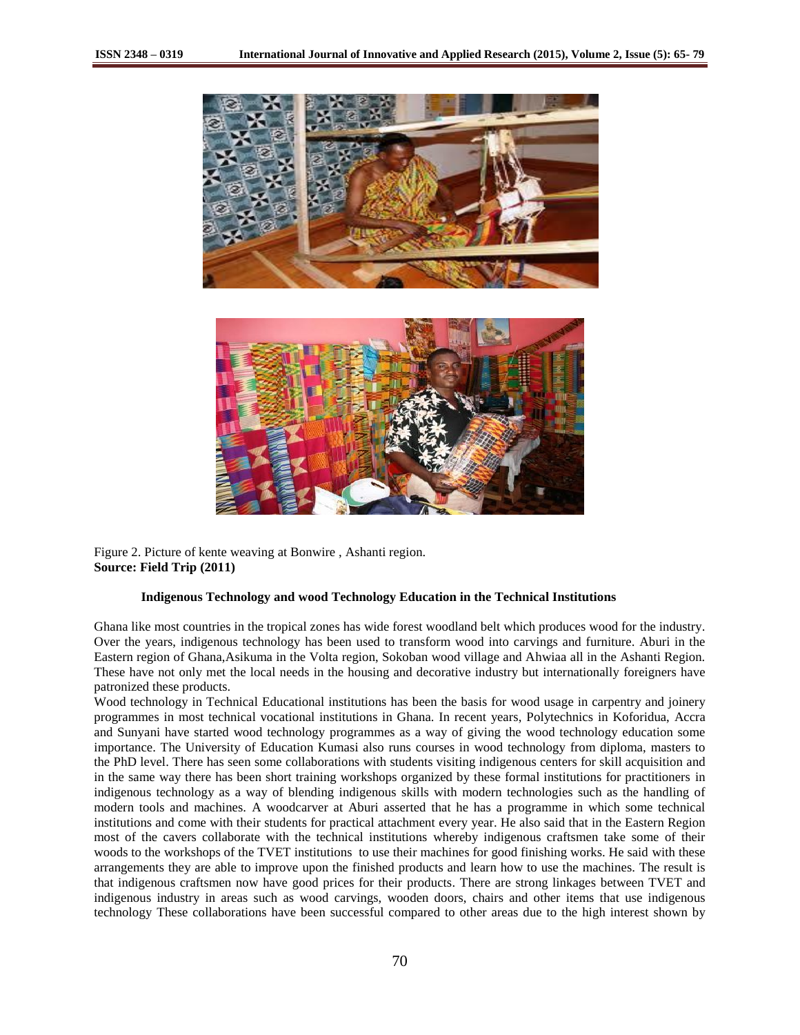



Figure 2. Picture of kente weaving at Bonwire , Ashanti region. **Source: Field Trip (2011)**

#### **Indigenous Technology and wood Technology Education in the Technical Institutions**

Ghana like most countries in the tropical zones has wide forest woodland belt which produces wood for the industry. Over the years, indigenous technology has been used to transform wood into carvings and furniture. Aburi in the Eastern region of Ghana,Asikuma in the Volta region, Sokoban wood village and Ahwiaa all in the Ashanti Region. These have not only met the local needs in the housing and decorative industry but internationally foreigners have patronized these products.

Wood technology in Technical Educational institutions has been the basis for wood usage in carpentry and joinery programmes in most technical vocational institutions in Ghana. In recent years, Polytechnics in Koforidua, Accra and Sunyani have started wood technology programmes as a way of giving the wood technology education some importance. The University of Education Kumasi also runs courses in wood technology from diploma, masters to the PhD level. There has seen some collaborations with students visiting indigenous centers for skill acquisition and in the same way there has been short training workshops organized by these formal institutions for practitioners in indigenous technology as a way of blending indigenous skills with modern technologies such as the handling of modern tools and machines. A woodcarver at Aburi asserted that he has a programme in which some technical institutions and come with their students for practical attachment every year. He also said that in the Eastern Region most of the cavers collaborate with the technical institutions whereby indigenous craftsmen take some of their woods to the workshops of the TVET institutions to use their machines for good finishing works. He said with these arrangements they are able to improve upon the finished products and learn how to use the machines. The result is that indigenous craftsmen now have good prices for their products. There are strong linkages between TVET and indigenous industry in areas such as wood carvings, wooden doors, chairs and other items that use indigenous technology These collaborations have been successful compared to other areas due to the high interest shown by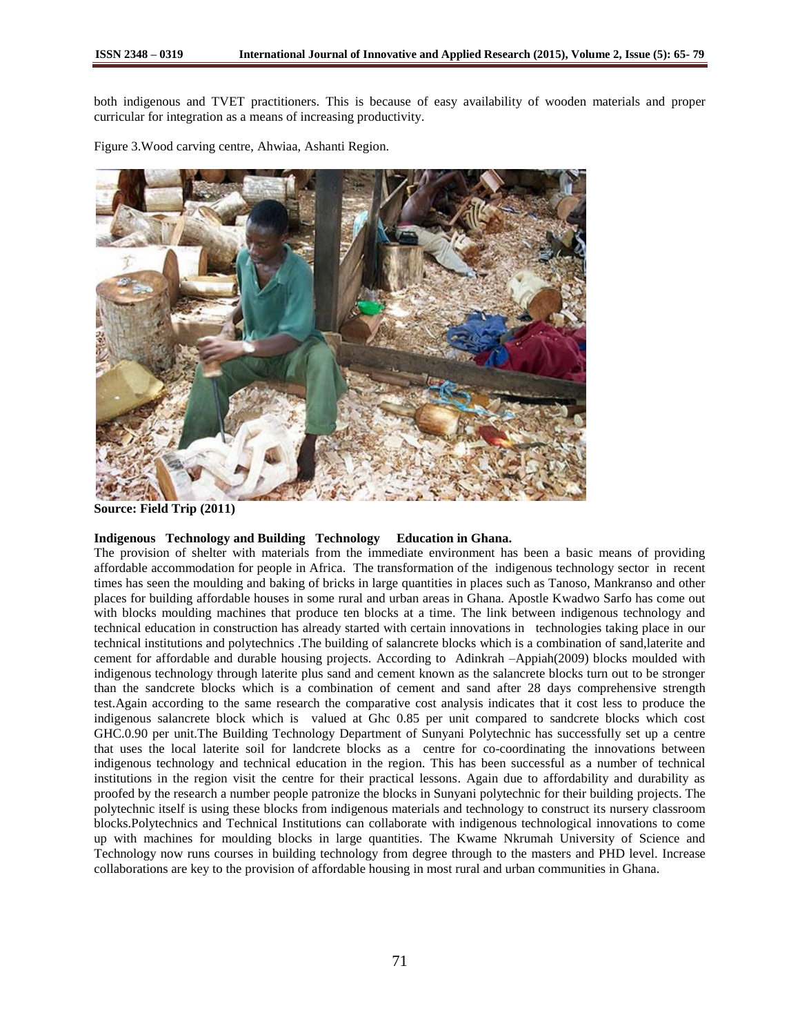both indigenous and TVET practitioners. This is because of easy availability of wooden materials and proper curricular for integration as a means of increasing productivity.

Figure 3.Wood carving centre, Ahwiaa, Ashanti Region.



**Source: Field Trip (2011)**

# **Indigenous Technology and Building Technology Education in Ghana.**

The provision of shelter with materials from the immediate environment has been a basic means of providing affordable accommodation for people in Africa. The transformation of the indigenous technology sector in recent times has seen the moulding and baking of bricks in large quantities in places such as Tanoso, Mankranso and other places for building affordable houses in some rural and urban areas in Ghana. Apostle Kwadwo Sarfo has come out with blocks moulding machines that produce ten blocks at a time. The link between indigenous technology and technical education in construction has already started with certain innovations in technologies taking place in our technical institutions and polytechnics .The building of salancrete blocks which is a combination of sand,laterite and cement for affordable and durable housing projects. According to Adinkrah –Appiah(2009) blocks moulded with indigenous technology through laterite plus sand and cement known as the salancrete blocks turn out to be stronger than the sandcrete blocks which is a combination of cement and sand after 28 days comprehensive strength test.Again according to the same research the comparative cost analysis indicates that it cost less to produce the indigenous salancrete block which is valued at Ghc 0.85 per unit compared to sandcrete blocks which cost GHC.0.90 per unit.The Building Technology Department of Sunyani Polytechnic has successfully set up a centre that uses the local laterite soil for landcrete blocks as a centre for co-coordinating the innovations between indigenous technology and technical education in the region. This has been successful as a number of technical institutions in the region visit the centre for their practical lessons. Again due to affordability and durability as proofed by the research a number people patronize the blocks in Sunyani polytechnic for their building projects. The polytechnic itself is using these blocks from indigenous materials and technology to construct its nursery classroom blocks.Polytechnics and Technical Institutions can collaborate with indigenous technological innovations to come up with machines for moulding blocks in large quantities. The Kwame Nkrumah University of Science and Technology now runs courses in building technology from degree through to the masters and PHD level. Increase collaborations are key to the provision of affordable housing in most rural and urban communities in Ghana.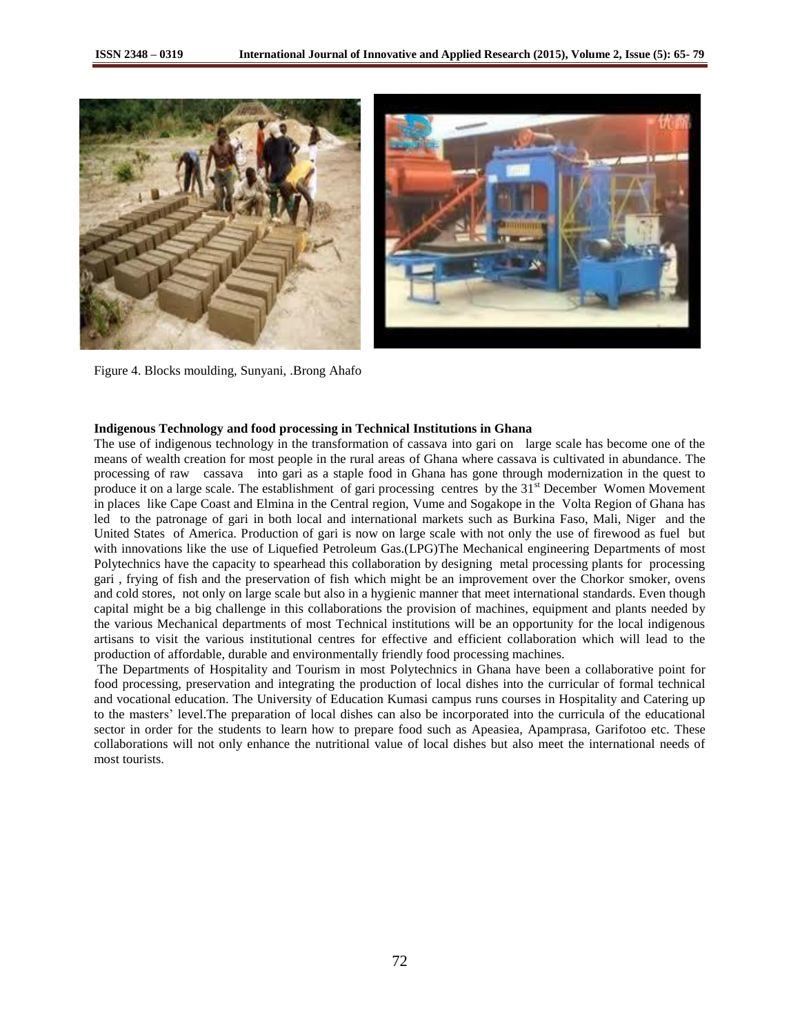



Figure 4. Blocks moulding, Sunyani, .Brong Ahafo

#### **Indigenous Technology and food processing in Technical Institutions in Ghana**

The use of indigenous technology in the transformation of cassava into gari on large scale has become one of the means of wealth creation for most people in the rural areas of Ghana where cassava is cultivated in abundance. The processing of raw cassava into gari as a staple food in Ghana has gone through modernization in the quest to produce it on a large scale. The establishment of gari processing centres by the 31<sup>st</sup> December Women Movement in places like Cape Coast and Elmina in the Central region, Vume and Sogakope in the Volta Region of Ghana has led to the patronage of gari in both local and international markets such as Burkina Faso, Mali, Niger and the United States of America. Production of gari is now on large scale with not only the use of firewood as fuel but with innovations like the use of Liquefied Petroleum Gas.(LPG)The Mechanical engineering Departments of most Polytechnics have the capacity to spearhead this collaboration by designing metal processing plants for processing gari , frying of fish and the preservation of fish which might be an improvement over the Chorkor smoker, ovens and cold stores, not only on large scale but also in a hygienic manner that meet international standards. Even though capital might be a big challenge in this collaborations the provision of machines, equipment and plants needed by the various Mechanical departments of most Technical institutions will be an opportunity for the local indigenous artisans to visit the various institutional centres for effective and efficient collaboration which will lead to the production of affordable, durable and environmentally friendly food processing machines.

The Departments of Hospitality and Tourism in most Polytechnics in Ghana have been a collaborative point for food processing, preservation and integrating the production of local dishes into the curricular of formal technical and vocational education. The University of Education Kumasi campus runs courses in Hospitality and Catering up to the masters' level.The preparation of local dishes can also be incorporated into the curricula of the educational sector in order for the students to learn how to prepare food such as Apeasiea, Apamprasa, Garifotoo etc. These collaborations will not only enhance the nutritional value of local dishes but also meet the international needs of most tourists.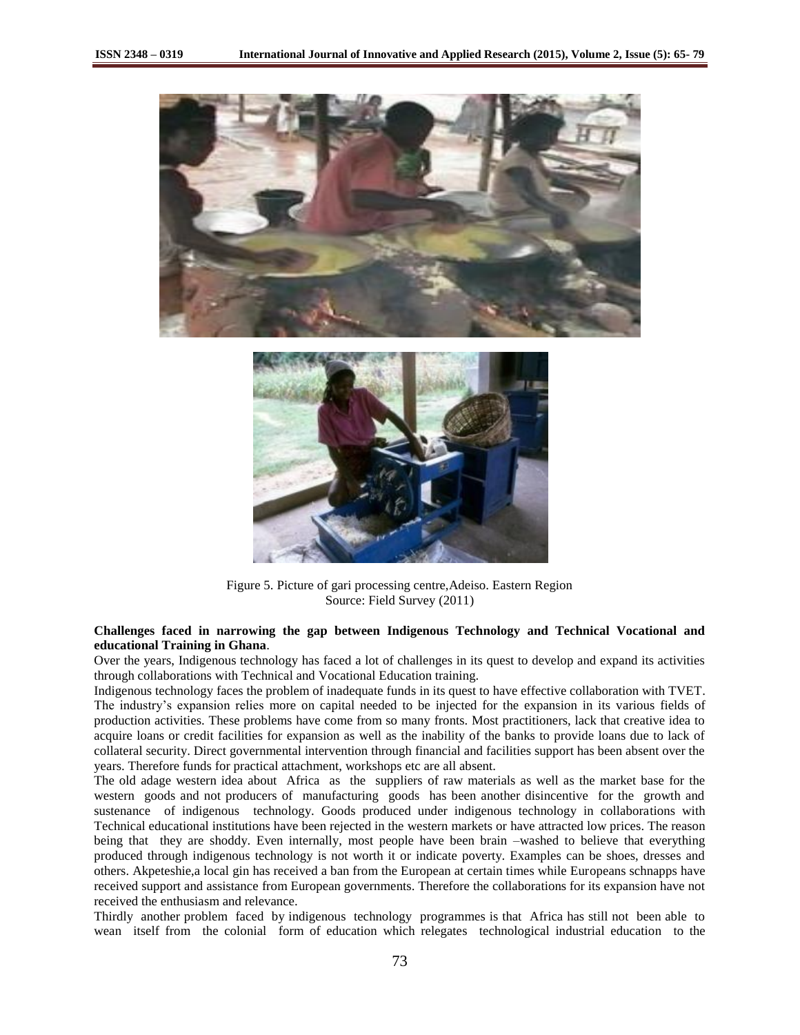

Figure 5. Picture of gari processing centre,Adeiso. Eastern Region Source: Field Survey (2011)

### **Challenges faced in narrowing the gap between Indigenous Technology and Technical Vocational and educational Training in Ghana**.

Over the years, Indigenous technology has faced a lot of challenges in its quest to develop and expand its activities through collaborations with Technical and Vocational Education training.

Indigenous technology faces the problem of inadequate funds in its quest to have effective collaboration with TVET. The industry's expansion relies more on capital needed to be injected for the expansion in its various fields of production activities. These problems have come from so many fronts. Most practitioners, lack that creative idea to acquire loans or credit facilities for expansion as well as the inability of the banks to provide loans due to lack of collateral security. Direct governmental intervention through financial and facilities support has been absent over the years. Therefore funds for practical attachment, workshops etc are all absent.

The old adage western idea about Africa as the suppliers of raw materials as well as the market base for the western goods and not producers of manufacturing goods has been another disincentive for the growth and sustenance of indigenous technology. Goods produced under indigenous technology in collaborations with Technical educational institutions have been rejected in the western markets or have attracted low prices. The reason being that they are shoddy. Even internally, most people have been brain –washed to believe that everything produced through indigenous technology is not worth it or indicate poverty. Examples can be shoes, dresses and others. Akpeteshie,a local gin has received a ban from the European at certain times while Europeans schnapps have received support and assistance from European governments. Therefore the collaborations for its expansion have not received the enthusiasm and relevance.

Thirdly another problem faced by indigenous technology programmes is that Africa has still not been able to wean itself from the colonial form of education which relegates technological industrial education to the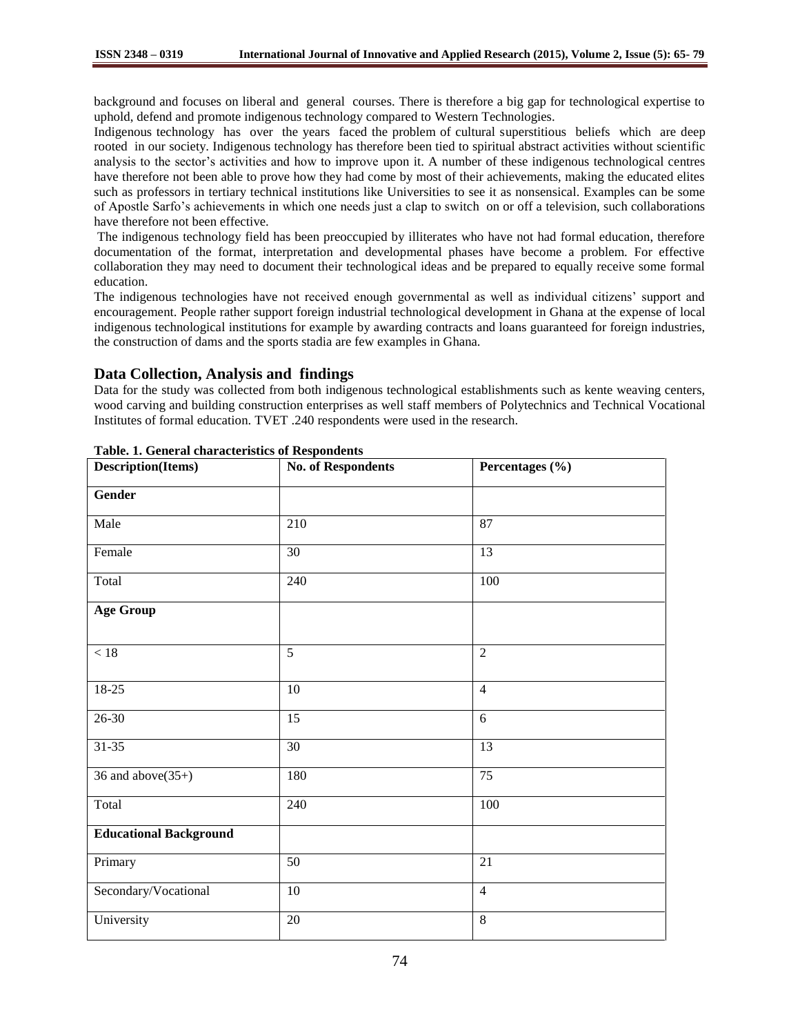background and focuses on liberal and general courses. There is therefore a big gap for technological expertise to uphold, defend and promote indigenous technology compared to Western Technologies.

Indigenous technology has over the years faced the problem of cultural superstitious beliefs which are deep rooted in our society. Indigenous technology has therefore been tied to spiritual abstract activities without scientific analysis to the sector's activities and how to improve upon it. A number of these indigenous technological centres have therefore not been able to prove how they had come by most of their achievements, making the educated elites such as professors in tertiary technical institutions like Universities to see it as nonsensical. Examples can be some of Apostle Sarfo's achievements in which one needs just a clap to switch on or off a television, such collaborations have therefore not been effective.

The indigenous technology field has been preoccupied by illiterates who have not had formal education, therefore documentation of the format, interpretation and developmental phases have become a problem. For effective collaboration they may need to document their technological ideas and be prepared to equally receive some formal education.

The indigenous technologies have not received enough governmental as well as individual citizens' support and encouragement. People rather support foreign industrial technological development in Ghana at the expense of local indigenous technological institutions for example by awarding contracts and loans guaranteed for foreign industries, the construction of dams and the sports stadia are few examples in Ghana.

**Data Collection, Analysis and findings** 

Data for the study was collected from both indigenous technological establishments such as kente weaving centers, wood carving and building construction enterprises as well staff members of Polytechnics and Technical Vocational Institutes of formal education. TVET .240 respondents were used in the research.

| Description(Items)            | <b>No. of Respondents</b> | Percentages (%) |
|-------------------------------|---------------------------|-----------------|
| <b>Gender</b>                 |                           |                 |
| Male                          | 210                       | 87              |
| Female                        | 30                        | 13              |
| Total                         | 240                       | 100             |
| <b>Age Group</b>              |                           |                 |
| $<18\,$                       | $\overline{5}$            | $\overline{2}$  |
| $18-25$                       | $10\,$                    | $\overline{4}$  |
| $26 - 30$                     | 15                        | 6               |
| $31 - 35$                     | 30                        | 13              |
| 36 and above $(35+)$          | 180                       | 75              |
| Total                         | 240                       | $100\,$         |
| <b>Educational Background</b> |                           |                 |
| Primary                       | 50                        | 21              |
| Secondary/Vocational          | $10\,$                    | $\overline{4}$  |
| University                    | $20\,$                    | $\overline{8}$  |

| Table. 1. General characteristics of Respondents |  |  |
|--------------------------------------------------|--|--|
|--------------------------------------------------|--|--|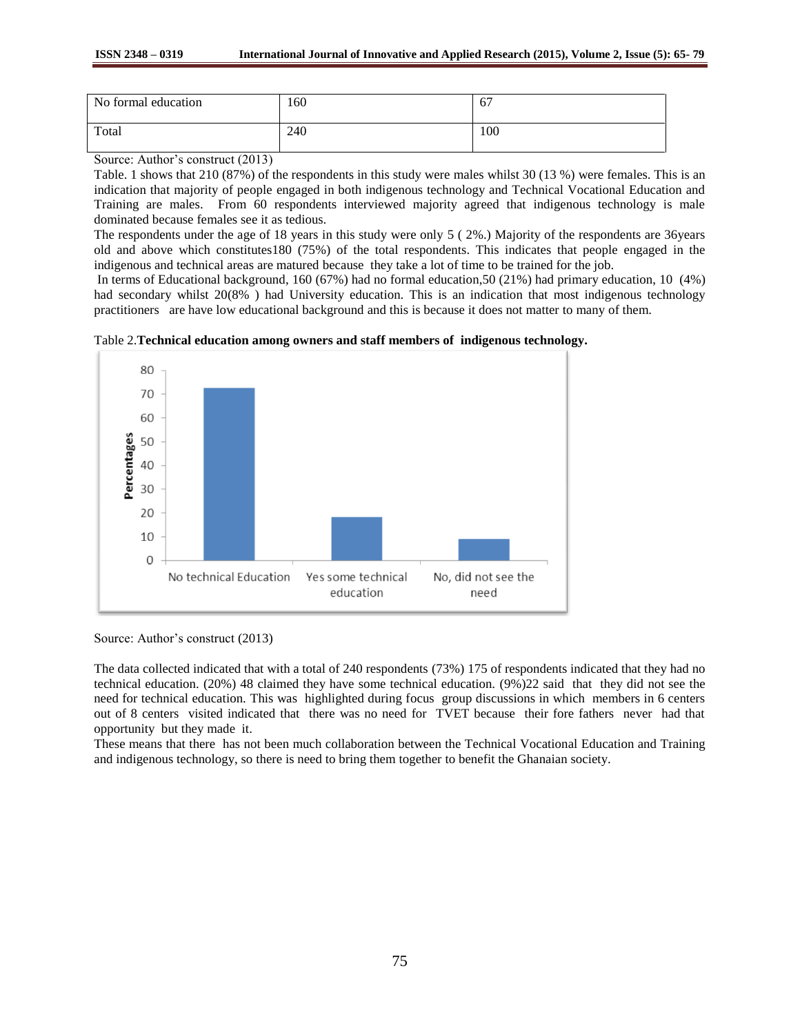| No formal education | 160 | 67  |
|---------------------|-----|-----|
| Total               | 240 | 100 |

Source: Author's construct (2013)

Table. 1 shows that 210 (87%) of the respondents in this study were males whilst 30 (13 %) were females. This is an indication that majority of people engaged in both indigenous technology and Technical Vocational Education and Training are males. From 60 respondents interviewed majority agreed that indigenous technology is male dominated because females see it as tedious.

The respondents under the age of 18 years in this study were only 5 ( 2%.) Majority of the respondents are 36years old and above which constitutes180 (75%) of the total respondents. This indicates that people engaged in the indigenous and technical areas are matured because they take a lot of time to be trained for the job.

In terms of Educational background, 160 (67%) had no formal education,50 (21%) had primary education, 10 (4%) had secondary whilst 20(8%) had University education. This is an indication that most indigenous technology practitioners are have low educational background and this is because it does not matter to many of them.

Table 2.**Technical education among owners and staff members of indigenous technology.**



Source: Author's construct (2013)

The data collected indicated that with a total of 240 respondents (73%) 175 of respondents indicated that they had no technical education. (20%) 48 claimed they have some technical education. (9%)22 said that they did not see the need for technical education. This was highlighted during focus group discussions in which members in 6 centers out of 8 centers visited indicated that there was no need for TVET because their fore fathers never had that opportunity but they made it.

These means that there has not been much collaboration between the Technical Vocational Education and Training and indigenous technology, so there is need to bring them together to benefit the Ghanaian society.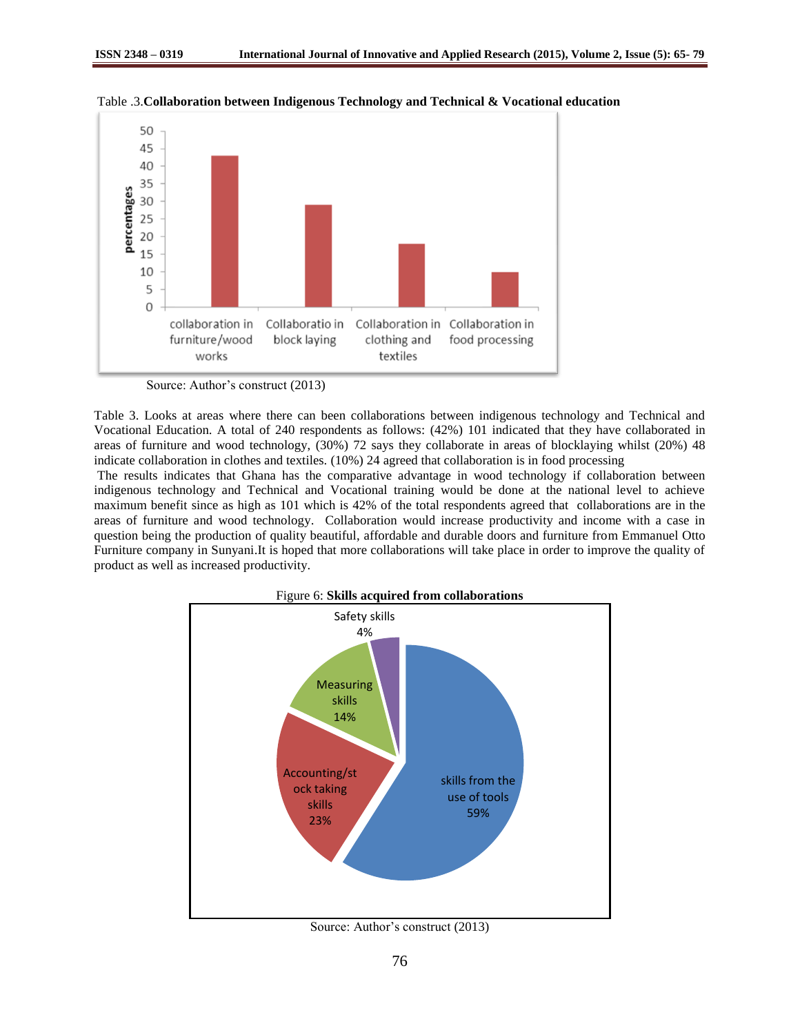

Table .3.**Collaboration between Indigenous Technology and Technical & Vocational education**

Table 3. Looks at areas where there can been collaborations between indigenous technology and Technical and Vocational Education. A total of 240 respondents as follows: (42%) 101 indicated that they have collaborated in areas of furniture and wood technology, (30%) 72 says they collaborate in areas of blocklaying whilst (20%) 48 indicate collaboration in clothes and textiles. (10%) 24 agreed that collaboration is in food processing

The results indicates that Ghana has the comparative advantage in wood technology if collaboration between indigenous technology and Technical and Vocational training would be done at the national level to achieve maximum benefit since as high as 101 which is 42% of the total respondents agreed that collaborations are in the areas of furniture and wood technology. Collaboration would increase productivity and income with a case in question being the production of quality beautiful, affordable and durable doors and furniture from Emmanuel Otto Furniture company in Sunyani.It is hoped that more collaborations will take place in order to improve the quality of product as well as increased productivity.



Source: Author's construct (2013)

Source: Author's construct (2013)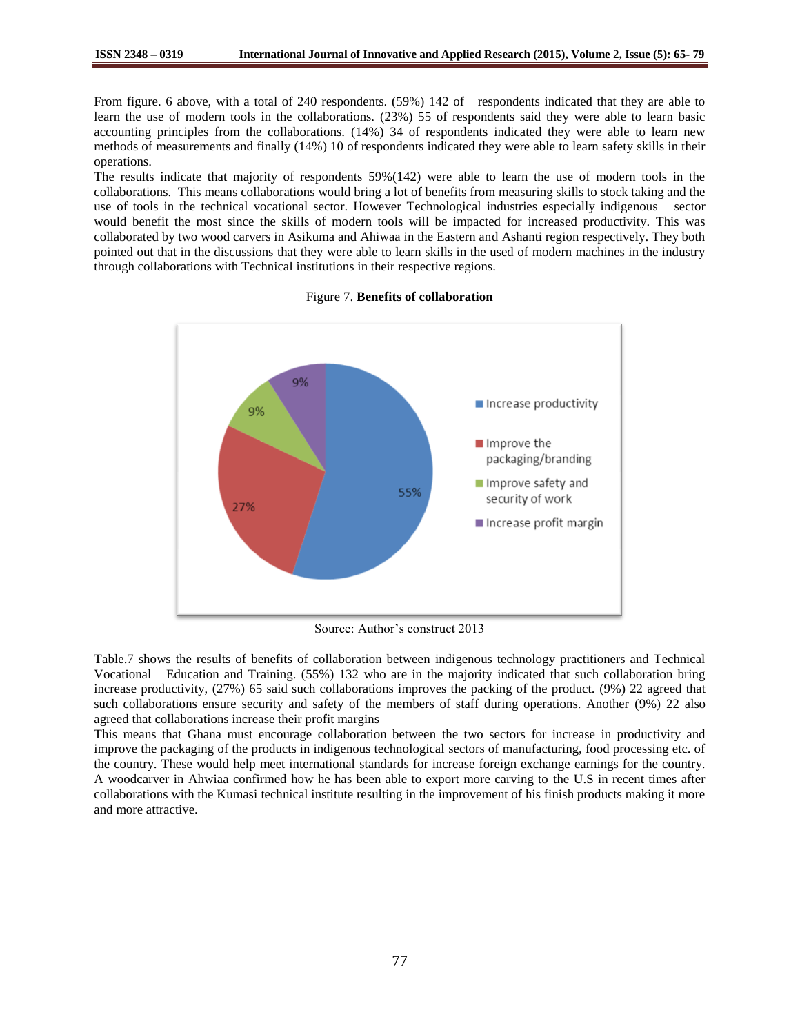From figure. 6 above, with a total of 240 respondents. (59%) 142 of respondents indicated that they are able to learn the use of modern tools in the collaborations. (23%) 55 of respondents said they were able to learn basic accounting principles from the collaborations. (14%) 34 of respondents indicated they were able to learn new methods of measurements and finally (14%) 10 of respondents indicated they were able to learn safety skills in their operations.

The results indicate that majority of respondents 59%(142) were able to learn the use of modern tools in the collaborations. This means collaborations would bring a lot of benefits from measuring skills to stock taking and the use of tools in the technical vocational sector. However Technological industries especially indigenous sector would benefit the most since the skills of modern tools will be impacted for increased productivity. This was collaborated by two wood carvers in Asikuma and Ahiwaa in the Eastern and Ashanti region respectively. They both pointed out that in the discussions that they were able to learn skills in the used of modern machines in the industry through collaborations with Technical institutions in their respective regions.



#### Figure 7. **Benefits of collaboration**

Source: Author's construct 2013

Table.7 shows the results of benefits of collaboration between indigenous technology practitioners and Technical Vocational Education and Training. (55%) 132 who are in the majority indicated that such collaboration bring increase productivity, (27%) 65 said such collaborations improves the packing of the product. (9%) 22 agreed that such collaborations ensure security and safety of the members of staff during operations. Another (9%) 22 also agreed that collaborations increase their profit margins

This means that Ghana must encourage collaboration between the two sectors for increase in productivity and improve the packaging of the products in indigenous technological sectors of manufacturing, food processing etc. of the country. These would help meet international standards for increase foreign exchange earnings for the country. A woodcarver in Ahwiaa confirmed how he has been able to export more carving to the U.S in recent times after collaborations with the Kumasi technical institute resulting in the improvement of his finish products making it more and more attractive.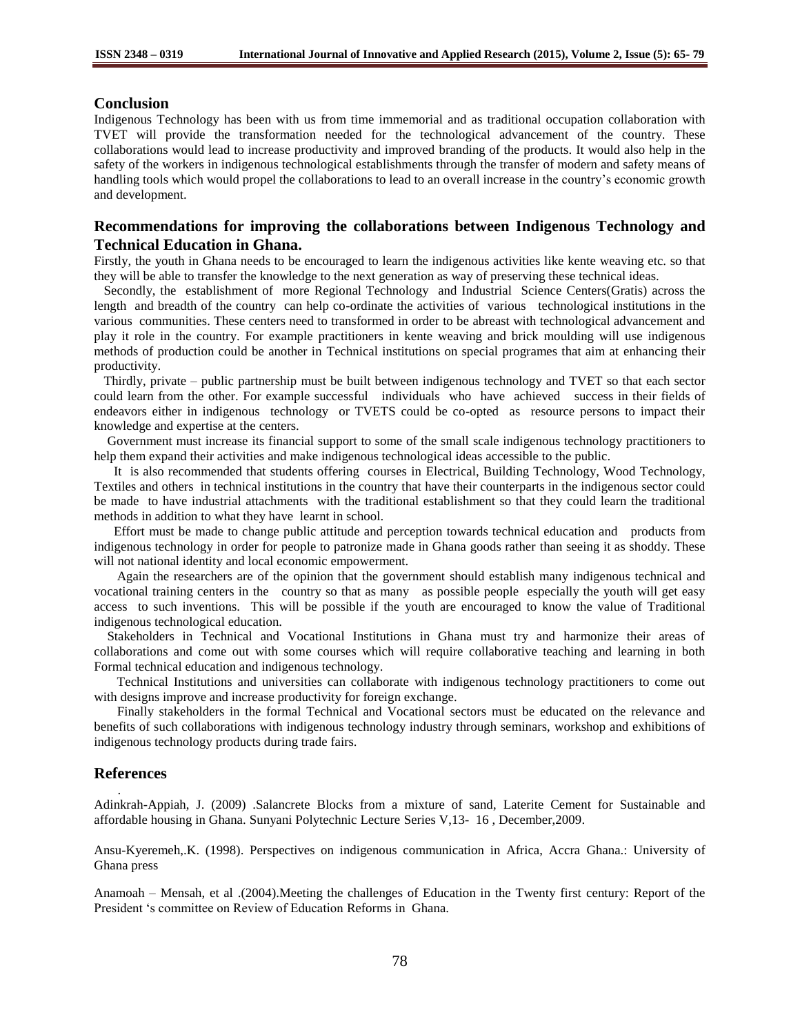### **Conclusion**

Indigenous Technology has been with us from time immemorial and as traditional occupation collaboration with TVET will provide the transformation needed for the technological advancement of the country. These collaborations would lead to increase productivity and improved branding of the products. It would also help in the safety of the workers in indigenous technological establishments through the transfer of modern and safety means of handling tools which would propel the collaborations to lead to an overall increase in the country's economic growth and development.

# **Recommendations for improving the collaborations between Indigenous Technology and Technical Education in Ghana.**

Firstly, the youth in Ghana needs to be encouraged to learn the indigenous activities like kente weaving etc. so that they will be able to transfer the knowledge to the next generation as way of preserving these technical ideas.

 Secondly, the establishment of more Regional Technology and Industrial Science Centers(Gratis) across the length and breadth of the country can help co-ordinate the activities of various technological institutions in the various communities. These centers need to transformed in order to be abreast with technological advancement and play it role in the country. For example practitioners in kente weaving and brick moulding will use indigenous methods of production could be another in Technical institutions on special programes that aim at enhancing their productivity.

 Thirdly, private – public partnership must be built between indigenous technology and TVET so that each sector could learn from the other. For example successful individuals who have achieved success in their fields of endeavors either in indigenous technology or TVETS could be co-opted as resource persons to impact their knowledge and expertise at the centers.

 Government must increase its financial support to some of the small scale indigenous technology practitioners to help them expand their activities and make indigenous technological ideas accessible to the public.

 It is also recommended that students offering courses in Electrical, Building Technology, Wood Technology, Textiles and others in technical institutions in the country that have their counterparts in the indigenous sector could be made to have industrial attachments with the traditional establishment so that they could learn the traditional methods in addition to what they have learnt in school.

 Effort must be made to change public attitude and perception towards technical education and products from indigenous technology in order for people to patronize made in Ghana goods rather than seeing it as shoddy. These will not national identity and local economic empowerment.

 Again the researchers are of the opinion that the government should establish many indigenous technical and vocational training centers in the country so that as many as possible people especially the youth will get easy access to such inventions. This will be possible if the youth are encouraged to know the value of Traditional indigenous technological education.

 Stakeholders in Technical and Vocational Institutions in Ghana must try and harmonize their areas of collaborations and come out with some courses which will require collaborative teaching and learning in both Formal technical education and indigenous technology.

 Technical Institutions and universities can collaborate with indigenous technology practitioners to come out with designs improve and increase productivity for foreign exchange.

 Finally stakeholders in the formal Technical and Vocational sectors must be educated on the relevance and benefits of such collaborations with indigenous technology industry through seminars, workshop and exhibitions of indigenous technology products during trade fairs.

### **References**

.

Adinkrah-Appiah, J. (2009) .Salancrete Blocks from a mixture of sand, Laterite Cement for Sustainable and affordable housing in Ghana. Sunyani Polytechnic Lecture Series V,13- 16 , December,2009.

Ansu-Kyeremeh,.K. (1998). Perspectives on indigenous communication in Africa, Accra Ghana.: University of Ghana press

Anamoah – Mensah, et al .(2004).Meeting the challenges of Education in the Twenty first century: Report of the President 's committee on Review of Education Reforms in Ghana.